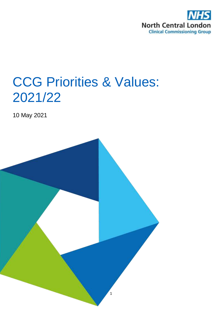

# CCG Priorities & Values: 2021/22

10 May 2021

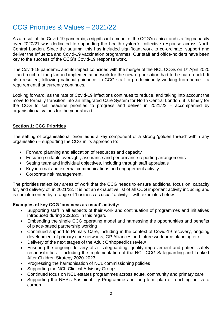# CCG Priorities & Values – 2021/22

As a result of the Covid-19 pandemic, a significant amount of the CCG's clinical and staffing capacity over 2020/21 was dedicated to supporting the health system's collective response across North Central London. Since the autumn, this has included significant work to co-ordinate, support and deliver the Influenza and Covid-19 vaccination programmes. Our staff and office-holders have been key to the success of the CCG's Covid-19 response work.

The Covid-19 pandemic and its impact coincided with the merger of the NCL CCGs on 1<sup>st</sup> April 2020 – and much of the planned implementation work for the new organisation had to be put on hold. It also resulted, following national guidance, in CCG staff to predominantly working from home – a requirement that currently continues.

Looking forward, as the rate of Covid-19 infections continues to reduce, and taking into account the move to formally transition into an Integrated Care System for North Central London, it is timely for the CCG to set headline priorities to progress and deliver in 2021/22 – accompanied by organisational values for the year ahead.

# **Section 1: CCG Priorities**

The setting of organisational priorities is a key component of a strong 'golden thread' within any organisation – supporting the CCG in its approach to:

- Forward planning and allocation of resources and capacity
- Ensuring suitable oversight, assurance and performance reporting arrangements
- Setting team and individual objectives, including through staff appraisals
- Key internal and external communications and engagement activity
- Corporate risk management.

The priorities reflect key areas of work that the CCG needs to ensure additional focus on, capacity for, and delivery of, in 2021/22. It is not an exhaustive list of all CCG important activity including and is complemented by a range of 'business as usual' activity – with examples below:

#### **Examples of key CCG 'business as usual' activity:**

- Supporting staff in all aspects of their work and continuation of programmes and initiatives introduced during 2020/21 in this regard
- Embedding the single CCG operating model and harnessing the opportunities and benefits of place-based partnership working
- Continued support to Primary Care, including in the context of Covid-19 recovery, ongoing development of primary care networks, GP Alliances and future workforce planning etc.
- Delivery of the next stages of the Adult Orthopaedics review
- Ensuring the ongoing delivery of all safeguarding, quality improvement and patient safety responsibilities – including the implementation of the NCL CCG Safeguarding and Looked After Children Strategy 2020-2023
- Progressing the harmonisation of NCL commissioning policies
- Supporting the NCL Clinical Advisory Groups
- Continued focus on NCL estates programmes across acute, community and primary care
- Supporting the NHS's Sustainability Programme and long-term plan of reaching net zero carbon.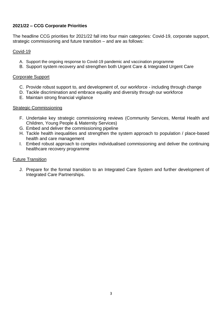# **2021/22 – CCG Corporate Priorities**

The headline CCG priorities for 2021/22 fall into four main categories: Covid-19, corporate support, strategic commissioning and future transition – and are as follows:

# Covid-19

- A. Support the ongoing response to Covid-19 pandemic and vaccination programme
- B. Support system recovery and strengthen both Urgent Care & Integrated Urgent Care

#### Corporate Support

- C. Provide robust support to, and development of, our workforce including through change
- D. Tackle discrimination and embrace equality and diversity through our workforce
- E. Maintain strong financial vigilance

#### Strategic Commissioning

- F. Undertake key strategic commissioning reviews (Community Services, Mental Health and Children, Young People & Maternity Services)
- G. Embed and deliver the commissioning pipeline
- H. Tackle health inequalities and strengthen the system approach to population / place-based health and care management
- I. Embed robust approach to complex individualised commissioning and deliver the continuing healthcare recovery programme

# Future Transition

J. Prepare for the formal transition to an Integrated Care System and further development of Integrated Care Partnerships.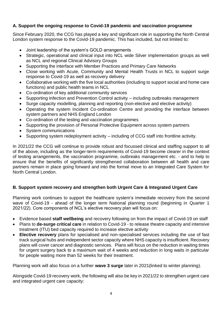# **A. Support the ongoing response to Covid-19 pandemic and vaccination programme**

Since February 2020, the CCG has played a key and significant role in supporting the North Central London system response to the Covid-19 pandemic. This has included, but not limited to:

- Joint leadership of the system's GOLD arrangements
- Strategic, operational and clinical input into NCL wide Silver implementation groups as well as NCL and regional Clinical Advisory Groups
- Supporting the interface with Member Practices and Primary Care Networks
- Close working with Acute, Community and Mental Health Trusts in NCL to support surge response to Covid-19 as well as recovery delivery
- Collaborative working with the five local authorities (including to support social and home care functions) and public health teams in NCL
- Co-ordination of key additional community services
- Supporting Infection and Prevention Control activity including outbreaks management
- Surge capacity modelling, planning and reporting (non-elective and elective activity)
- Operating the system Incident Co-ordination Centre and providing the interface between system partners and NHS England London
- Co-ordination of the testing and vaccination programmes
- Supporting the provision of Personal Protective Equipment across system partners
- System communications
- Supporting system redeployment activity including of CCG staff into frontline activity.

In 2021/22 the CCG will continue to provide robust and focussed clinical and staffing support to all of the above, including as the longer-term requirements of Covid-19 become clearer in the context of testing arrangements, the vaccination programme, outbreaks management etc. - and to help to ensure that the benefits of significantly strengthened collaboration between all health and care partners remain in place going forward and into the formal move to an Integrated Care System for North Central London.

# **B. Support system recovery and strengthen both Urgent Care & Integrated Urgent Care**

Planning work continues to support the healthcare system's immediate recovery from the second wave of Covid-19 - ahead of the longer term National planning round (beginning in Quarter 1 2021/22). Core components of NCL's elective recovery plan will focus on:

- Evidence based **staff wellbeing** and recovery following on from the impact of Covid-19 on staff
- Plans to **de-surge critical care** in relation to Covid-19 to release theatre capacity and intensive treatment (ITU) bed capacity required to increase elective activity
- **Elective recovery** plans for specialised and non-specialised services including the use of fast track surgical hubs and independent sector capacity where NHS capacity is insufficient. Recovery plans will cover cancer and diagnostic services. Plans will focus on the reduction in waiting times for urgent surgery back to a maximum wait of 4 weeks and reduction in long waits in particular for people waiting more than 52 weeks for their treatment.

Planning work will also focus on a further **wave 3 surge** later in 2021(linked to winter planning).

Alongside Covid-19 recovery work, the following will also be key in 2021/22 to strengthen urgent care and integrated urgent care capacity: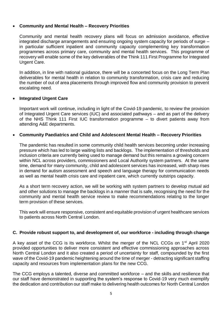#### **Community and Mental Health – Recovery Priorities**

Community and mental health recovery plans will focus on admission avoidance, effective integrated discharge arrangements and ensuring ongoing system capacity for periods of surge – in particular sufficient inpatient and community capacity complementing key transformation programmes across primary care, community and mental health services. This programme of recovery will enable some of the key deliverables of the Think 111 First Programme for Integrated Urgent Care.

In addition, in line with national guidance, there will be a concerted focus on the Long Term Plan deliverables for mental health in relation to community transformation, crisis care and reducing the number of out of area placements through improved flow and community provision to prevent escalating need.

#### **Integrated Urgent Care**

Important work will continue, including in light of the Covid-19 pandemic, to review the provision of Integrated Urgent Care services (IUC) and associated pathways – and as part of the delivery of the NHS Think 111 First IUC transformation programme – to divert patients away from attending A&E departments.

#### **Community Paediatrics and Child and Adolescent Mental Health – Recovery Priorities**

The pandemic has resulted in some community child health services becoming under increasing pressure which has led to large waiting lists and backlogs. The implementation of thresholds and inclusion criteria are currently being used to manage demand but this remains a growing concern within NCL across providers, commissioners and Local Authority system partners. At the same time, demand for many community, child and adolescent services has increased, with sharp rises in demand for autism assessment and speech and language therapy for communication needs as well as mental health crisis care and inpatient care, which currently outstrips capacity.

As a short term recovery action, we will be working with system partners to develop mutual aid and other solutions to manage the backlogs in a manner that is safe, recognising the need for the community and mental health service review to make recommendations relating to the longer term provision of these services.

This work will ensure responsive, consistent and equitable provision of urgent healthcare services to patients across North Central London.

#### **C. Provide robust support to, and development of, our workforce - including through change**

A key asset of the CCG is its workforce. Whilst the merger of the NCL CCGs on 1<sup>st</sup> April 2020 provided opportunities to deliver more consistent and effective commissioning approaches across North Central London and it also created a period of uncertainty for staff, compounded by the first wave of the Covid-19 pandemic heightening around the time of merger - detracting significant staffing capacity and resources from implementation plans for the new CCG.

The CCG employs a talented, diverse and committed workforce – and the skills and resilience that our staff have demonstrated in supporting the system's response to Covid-19 very much exemplify the dedication and contribution our staff make to delivering health outcomes for North Central London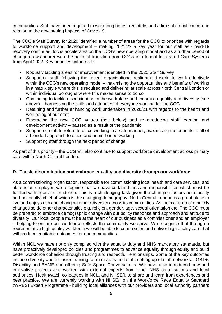communities. Staff have been required to work long hours, remotely, and a time of global concern in relation to the devastating impacts of Covid-19.

The CCG's Staff Survey for 2020 identified a number of areas for the CCG to prioritise with regards to workforce support and development – making 2021/22 a key year for our staff as Covid-19 recovery continues, focus accelerates on the CCG's new operating model and as a further period of change draws nearer with the national transition from CCGs into formal Integrated Care Systems from April 2022. Key priorities will include:

- Robustly tackling areas for improvement identified in the 2020 Staff Survey
- Supporting staff, following the recent organisational realignment work, to work effectively within the CCG's new operating model – maximising the opportunities and benefits of working in a matrix style where this is required and delivering at scale across North Central London or within individual boroughs where this makes sense to do so
- Continuing to tackle discrimination in the workplace and embrace equality and diversity (see above) – harnessing the skills and attributes of everyone working for the CCG
- Retaining and further enhancing work undertaken in 2020/21 with regards to the health and well-being of our staff
- Embracing the new CCG values (see below) and re-introducing staff learning and development activity – paused as a result of the pandemic
- Supporting staff to return to office working in a safe manner, maximising the benefits to all of a blended approach to office and home-based working
- Supporting staff through the next period of change.

As part of this priority – the CCG will also continue to support workforce development across primary care within North Central London.

# **D. Tackle discrimination and embrace equality and diversity through our workforce**

As a commissioning organisation, responsible for commissioning local health and care services, and also as an employer, we recognise that we have certain duties and responsibilities which must be fulfilled with rigor and prudence. This is a challenging task given the changing factors both locally and nationally, chief of which is the changing demography. North Central London is a great place to live and enjoys rich and changing ethnic diversity across its communities. As the make-up of ethnicity changes so do other characteristics e.g. religion, gender, age, sexual orientation etc. The CCG must be prepared to embrace demographic change with our policy response and approach and attitude to diversity. Our local people must be at the heart of our business as a commissioner and an employer – helping to ensure our workforce reflects the community we serve. We recognise that through a representative high quality workforce we will be able to commission and deliver high quality care that will produce equitable outcomes for our communities.

Within NCL we have not only complied with the equality duty and NHS mandatory standards, but have proactively developed policies and programmes to advance equality through equity and build better workforce cohesion through trusting and respectful relationships. Some of the key outcomes include diversity and inclusion training for managers and staff, setting up of staff networks: LGBT+, Disability and BAME and offering Safe Space Conversations. We have also introduced new and innovative projects and worked with external experts from other NHS organisations and local authorities, Healthwatch colleagues in NCL, and NHSE/I, to share and learn from experiences and best practice. We are currently working with NHSE/I on the Workforce Race Equality Standard (WRES) Expert Programme - building local alliances with our providers and local authority partners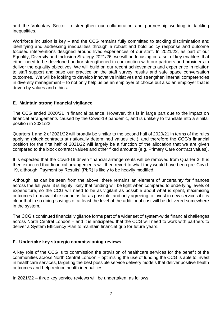and the Voluntary Sector to strengthen our collaboration and partnership working in tackling inequalities.

Workforce inclusion is key – and the CCG remains fully committed to tackling discrimination and identifying and addressing inequalities through a robust and bold policy response and outcome focused interventions designed around lived experiences of our staff. In 2021/22, as part of our Equality, Diversity and Inclusion Strategy 2021/26, we will be focusing on a set of key enablers that either need to be developed and/or strengthened in conjunction with our partners and providers to deliver the equality objectives. We will build on our recent achievements and experience in relation to staff support and base our practice on the staff survey results and safe space conversation outcomes. We will be looking to develop innovative initiatives and strengthen internal competencies in diversity management – to not only help us be an employer of choice but also an employer that is driven by values and ethics.

# **E. Maintain strong financial vigilance**

The CCG ended 2020/21 in financial balance. However, this is in large part due to the impact on financial arrangements caused by the Covid-19 pandemic, and is unlikely to translate into a similar position in 2021/22.

Quarters 1 and 2 of 2021/22 will broadly be similar to the second half of 2020/21 in terms of the rules applying (block contracts at nationally determined values etc.), and therefore the CCG's financial position for the first half of 2021/22 will largely be a function of the allocation that we are given compared to the block contract values and other fixed amounts (e.g. Primary Care contract values).

It is expected that the Covid-19 driven financial arrangements will be removed from Quarter 3. It is then expected that financial arrangements will then revert to what they would have been pre-Covid-19, although 'Payment by Results' (PbR) is likely to be heavily modified.

Although, as can be seen from the above, there remains an element of uncertainty for finances across the full year, it is highly likely that funding will be tight when compared to underlying levels of expenditure, so the CCG will need to be as vigilant as possible about what is spent, maximising outcomes from available spend as far as possible, and only agreeing to invest in new services if it is clear that in so doing savings of at least the level of the additional cost will be delivered somewhere in the system.

The CCG's continued financial vigilance forms part of a wider set of system-wide financial challenges across North Central London – and it is anticipated that the CCG will need to work with partners to deliver a System Efficiency Plan to maintain financial grip for future years.

# **F. Undertake key strategic commissioning reviews**

A key role of the CCG is to commission the provision of healthcare services for the benefit of the communities across North Central London – optimising the use of funding the CCG is able to invest in healthcare services, targeting the best possible service delivery models that deliver positive health outcomes and help reduce health inequalities.

In 2021/22 – three key service reviews will be undertaken, as follows: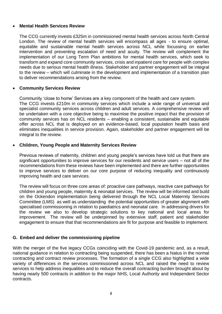#### **Mental Health Services Review**

The CCG currently invests £325m in commissioned mental health services across North Central London. The review of mental health services will encompass all ages - to ensure optimal, equitable and sustainable mental health services across NCL while focussing on earlier intervention and preventing escalation of need and acuity. The review will complement the implementation of our Long Term Plan ambitions for mental health services, which seek to transform and expand core community services, crisis and inpatient care for people with complex needs due to serious mental health illness. Stakeholder and partner engagement will be integral to the review – which will culminate in the development and implementation of a transition plan to deliver recommendations arising from the review.

#### **Community Services Review**

Community 'close to home' Services are a key component of the health and care system. The CCG invests £210m in community services which include a wide range of universal and specialist community services across children and adult services. A comprehensive review will be undertaken with a core objective being to maximise the positive impact that the provision of community services has on NCL residents – enabling a consistent, sustainable and equitable offer across NCL that is deployed on an evidence-based, local population health basis and eliminates inequalities in service provision. Again, stakeholder and partner engagement will be integral to the review.

#### **Children, Young People and Maternity Services Review**

Previous reviews of maternity, children and young people's services have told us that there are significant opportunities to improve services for our residents and service users – not all of the recommendations from these reviews have been implemented and there are further opportunities to improve services to deliver on our core purpose of reducing inequality and continuously improving health and care services.

The review will focus on three core areas of: proactive care pathways, reactive care pathways for children and young people, maternity & neonatal services. The review will be informed and build on the Ockendon implementation being delivered through the NCL Local Maternity Services Committee (LMS) as well as understanding the potential opportunities of greater alignment with specialised commissioning in relation to paediatrics and neonatal care. In addressing drivers for the review we also to develop strategic solutions to key national and local areas for improvement. The review will be underpinned by extensive staff, patient and stakeholder engagement to ensure that that recommendations are fit for purpose and feasible to implement.

# **G. Embed and deliver the commissioning pipeline**

With the merger of the five legacy CCGs coinciding with the Covid-19 pandemic and, as a result, national guidance in relation to contracting being suspended, there has been a hiatus in the normal contracting and contract review processes. The formation of a single CCG also highlighted a wide variety of differences in the services commissioned across NCL and raised the need to review services to help address inequalities and to reduce the overall contracting burden brought about by having nearly 500 contracts in addition to the major NHS, Local Authority and Independent Sector contracts.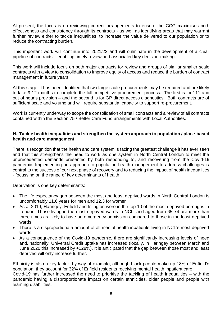At present, the focus is on reviewing current arrangements to ensure the CCG maximises both effectiveness and consistency through its contracts - as well as identifying areas that may warrant further review either to tackle inequalities, to increase the value delivered to our population or to reduce the contracting burden.

This important work will continue into 2021/22 and will culminate in the development of a clear pipeline of contracts – enabling timely review and associated key decision-making.

This work will include focus on both major contracts for review and groups of similar smaller scale contracts with a view to consolidation to improve equity of access and reduce the burden of contract management in future years.

At this stage, it has been identified that two large scale procurements may be required and are likely to take 9-12 months to complete the full competitive procurement process. The first is for 111 and out of hour's provision – and the second is for GP direct access diagnostics. Both contracts are of sufficient scale and volume and will require substantial capacity to support re-procurement.

Work is currently underway to scope the consolidation of small contracts and a review of all contracts contained within the Section 75 / Better Care Fund arrangements with Local Authorities.

#### **H. Tackle health inequalities and strengthen the system approach to population / place-based health and care management**

There is recognition that the health and care system is facing the greatest challenge it has ever seen and that this strengthens the need to work as one system in North Central London to meet the unprecedented demands presented by both responding to, and recovering from the Covid-19 pandemic. Implementing an approach to population health management to address challenges is central to the success of our next phase of recovery and to reducing the impact of health inequalities - focussing on the range of key determinants of health.

Deprivation is one key determinants:

- The life expectancy gap between the most and least deprived wards in North Central London is uncomfortably 11.6 years for men and 12.3 for women
- As at 2019, Haringey, Enfield and Islington were in the top 10 of the most deprived boroughs in London. Those living in the most deprived wards in NCL, and aged from 65-74 are more than three times as likely to have an emergency admission compared to those in the least deprived wards
- There is a disproportionate amount of all mental health inpatients living in NCL's most deprived wards.
- As a consequence of the Covid-19 pandemic, there are significantly increasing levels of need and, nationally, Universal Credit uptake has increased (locally, in Haringey between March and June 2020 this increased by +128%). It is anticipated that the gap between those most and least deprived will only increase further.

Ethnicity is also a key factor; by way of example, although black people make up 18% of Enfield's population, they account for 32% of Enfield residents receiving mental health inpatient care. Covid-19 has further increased the need to prioritise the tackling of health inequalities – with the pandemic having a disproportionate impact on certain ethnicities, older people and people with learning disabilities.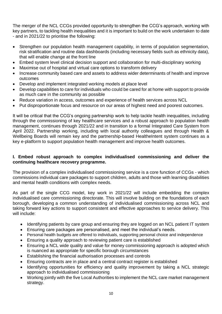The merger of the NCL CCGs provided opportunity to strengthen the CCG's approach, working with key partners, to tackling health inequalities and it is important to build on the work undertaken to date - and in 2021/22 to prioritise the following:

- Strengthen our population health management capability, in terms of population segmentation, risk stratification and routine data dashboards (including necessary fields such as ethnicity data), that will enable change at the front line
- Embed system level clinical decision support and collaboration for multi-disciplinary working
- Maximise out of hospital and virtual care options to transform delivery
- Increase community based care and assets to address wider determinants of health and improve outcomes
- Develop and implement integrated working models at place level
- Develop capabilities to care for individuals who could be cared for at home with support to provide as much care in the community as possible
- Reduce variation in access, outcomes and experience of health services across NCL
- Put disproportionate focus and resource on our areas of highest need and poorest outcomes.

It will be critical that the CCG's ongoing partnership work to help tackle health inequalities, including through the commissioning of key healthcare services and a robust approach to population health management, continues through 2021/22 and in transition to a formal Integrated Care System from April 2022. Partnership working, including with local authority colleagues and through Health & Wellbeing Boards will remain key and the partnership-based HealtheIntent system continues as a key e-platform to support population health management and improve health outcomes.

# **I. Embed robust approach to complex individualised commissioning and deliver the continuing healthcare recovery programme.**

The provision of a complex individualised commissioning service is a core function of CCGs - which commissions individual care packages to support children, adults and those with learning disabilities and mental health conditions with complex needs.

As part of the single CCG model, key work in 2021/22 will include embedding the complex individualised care commissioning directorate. This will involve building on the foundations of each borough, developing a common understanding of individualised commissioning across NCL and taking forward key actions to support consistent and effective approaches to service delivery. This will include:

- Identifying patients by care group and ensuring they are logged on an NCL patient IT system
- Ensuring care packages are personalised, and meet the individual's needs.
- Personal health budgets are offered to individuals, supporting personal choice and independence
- Ensuring a quality approach to reviewing patient care is established
- Ensuring a NCL wide quality and value for money commissioning approach is adopted which is nuanced as appropriate for specific borough circumstances
- Establishing the financial authorisation processes and controls
- Ensuring contracts are in place and a central contract register is established
- Identifying opportunities for efficiency and quality improvement by taking a NCL strategic approach to individualised commissioning
- Working jointly with the five Local Authorities to implement the NCL care market management strategy.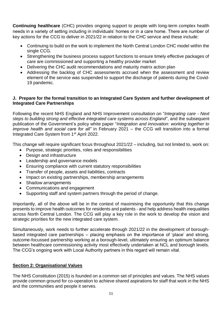**Continuing healthcare** (CHC) provides ongoing support to people with long-term complex health needs in a variety of setting including in individuals' homes or in a care home. There are number of key actions for the CCG to deliver in 2021/22 in relation to the CHC service and these include:

- Continuing to build on the work to implement the North Central London CHC model within the single CCG.
- Strengthening the business process support functions to ensure timely effective packages of care are commissioned and supporting a healthy provider market
- Delivering the CHC audit recommendations and maturity matrix action plan
- Addressing the backlog of CHC assessments accrued when the assessment and review element of the service was suspended to support the discharge of patients during the Covid-19 pandemic.

# **J. Prepare for the formal transition to an Integrated Care System and further development of Integrated Care Partnerships**

Following the recent NHS England and NHS Improvement consultation on "*[Integrating care -](http://camdenccg.newsweaver.com/iiql7lxxnj/pw4l4l5b6lc115wo6jr4vp/external?email=true&a=6&p=6422837&t=356442) Next [steps to building strong and effective integrated care systems across England](http://camdenccg.newsweaver.com/iiql7lxxnj/pw4l4l5b6lc115wo6jr4vp/external?email=true&a=6&p=6422837&t=356442)*", and the subsequent publication of the Government's policy white paper "*Integration and innovation: working together to improve health and social care for all"* in February 2021 – the CCG will transition into a formal Integrated Care System from 1st April 2022.

This change will require significant focus throughout 2021/22 – including, but not limited to, work on:

- Purpose, strategic priorities, roles and responsibilities
- Design and infrastructure
- Leadership and governance models
- Ensuring compliance with current statutory responsibilities
- Transfer of people, assets and liabilities, contracts
- Impact on existing partnerships, membership arrangements
- Shadow arrangements
- Communications and engagement
- Supporting staff and system partners through the period of change.

Importantly, all of the above will be in the context of maximising the opportunity that this change presents to improve health outcomes for residents and patients - and help address health inequalities across North Central London. The CCG will play a key role in the work to develop the vision and strategic priorities for the new integrated care system.

Simultaneously, work needs to further accelerate through 2021/22 in the development of boroughbased integrated care partnerships – placing emphasis on the importance of 'place' and strong, outcome-focussed partnership working at a borough-level, ultimately ensuring an optimum balance between healthcare commissioning activity most effectively undertaken at NCL and borough levels. The CCG's ongoing work with Local Authority partners in this regard will remain vital.

# **Section 2: Organisational Values**

The NHS Constitution (2015) is founded on a common set of principles and values. The NHS values provide common ground for co-operation to achieve shared aspirations for staff that work in the NHS and the communities and people it serves.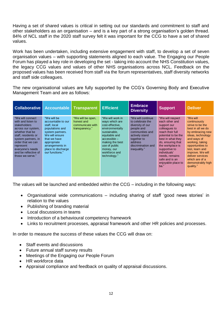Having a set of shared values is critical in setting out our standards and commitment to staff and other stakeholders as an organisation – and is a key part of a strong organisation's golden thread. 84% of NCL staff in the 2020 staff survey felt it was important for the CCG to have a set of shared values.

Work has been undertaken, including extensive engagement with staff, to develop a set of seven organisation values – with supporting statements aligned to each value. The Engaging our People Forum has played a key role in developing the set - taking into account the NHS Constitution values, the legacy CCG values and values of other NHS organisations across NCL. Feedback on the proposed values has been received from staff via the forum representatives, staff diversity networks and staff side colleagues.

The new organisational values are fully supported by the CCG's Governing Body and Executive Management Team and are as follows:

| <b>Collaborative</b>                                                                                                                                                                                                                                    | Accountable                                                                                                                                                                                           | <b>Transparent</b>                                                    | <b>Efficient</b>                                                                                                                                                                                               | <b>Embrace</b><br><b>Diversity</b>                                                                                                                                            | <b>Support</b>                                                                                                                                                                                                                                                                 | <b>Deliver</b>                                                                                                                                                                                                                                                                  |
|---------------------------------------------------------------------------------------------------------------------------------------------------------------------------------------------------------------------------------------------------------|-------------------------------------------------------------------------------------------------------------------------------------------------------------------------------------------------------|-----------------------------------------------------------------------|----------------------------------------------------------------------------------------------------------------------------------------------------------------------------------------------------------------|-------------------------------------------------------------------------------------------------------------------------------------------------------------------------------|--------------------------------------------------------------------------------------------------------------------------------------------------------------------------------------------------------------------------------------------------------------------------------|---------------------------------------------------------------------------------------------------------------------------------------------------------------------------------------------------------------------------------------------------------------------------------|
| "We will connect"<br>with and listen to<br><b>stakeholders</b><br>across our system.<br>whether that be<br>staff, residents or<br>system partners, in<br>order that we can<br>represent<br>everyone's needs<br>and be reflective of<br>those we serve." | "We will be<br>accountable to our<br>staff, local<br>populations and<br>system partners.<br>We will ensure<br>that we have<br>appropriate<br>arrangements in<br>place to discharge<br>our functions." | "We will be open,<br>honest and<br>communicate with<br>transparency." | "We will work in<br>ways which are<br>cost-effective.<br>environmentally<br>sustainable,<br>equitable and<br>$accessible -$<br>making the best<br>use of public<br>money, our<br>workforce and<br>technology." | "We will continue"<br>to celebrate the<br>diversity of our<br>people and<br>communities and<br>actively stand<br>together to<br>address<br>discrimination and<br>inequality." | "We will respect<br>each other and<br>support our<br>colleagues to<br>reach their full<br>potential to be the<br>best in what they<br>do, ensuring that<br>the workplace is<br>supportive to<br>individuals'<br>needs, remains<br>safe and is an<br>enjoyable place to<br>be." | "We will<br>continuously<br>strive to be the<br>best in all we do<br>by embracing new<br>ideas, technology<br>and ways of<br>working, taking<br>opportunities to<br>test. learn and<br>improve. We will<br>deliver services<br>which are of a<br>demonstrably high<br>quality." |

The values will be launched and embedded within the CCG – including in the following ways:

- Organisational wide communications including sharing of staff 'good news stories' in relation to the values
- Publishing of branding material
- Local discussions in teams
- Introduction of a behavioural competency framework
- Links to recruitment processes, appraisal framework and other HR policies and processes.

In order to measure the success of these values the CCG will draw on:

- Staff events and discussions
- Future annual staff survey results
- Meetings of the Engaging our People Forum
- HR workforce data
- Appraisal compliance and feedback on quality of appraisal discussions.